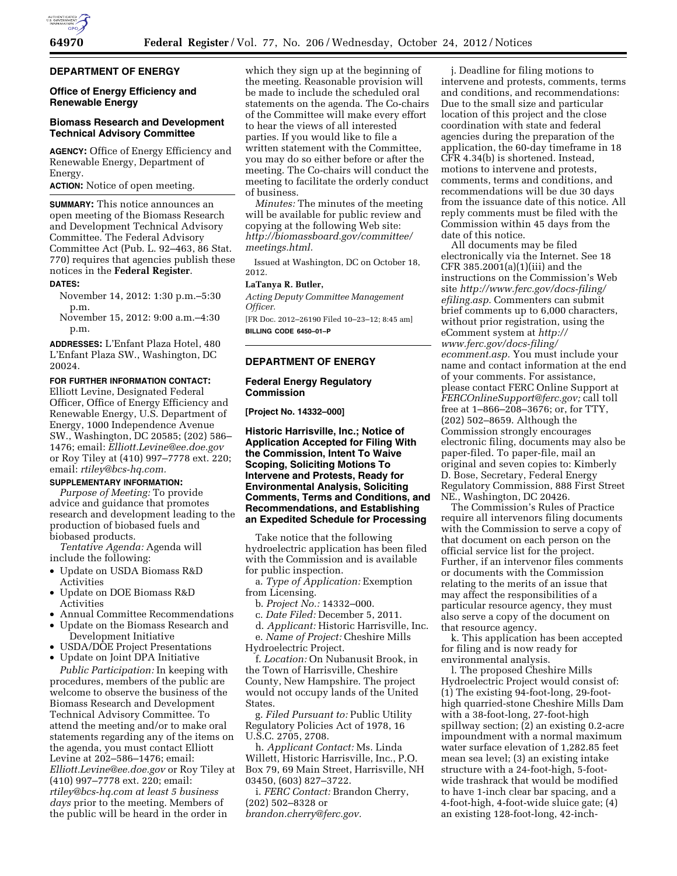

# **DEPARTMENT OF ENERGY**

## **Office of Energy Efficiency and Renewable Energy**

## **Biomass Research and Development Technical Advisory Committee**

**AGENCY:** Office of Energy Efficiency and Renewable Energy, Department of Energy.

**ACTION:** Notice of open meeting.

**SUMMARY:** This notice announces an open meeting of the Biomass Research and Development Technical Advisory Committee. The Federal Advisory Committee Act (Pub. L. 92–463, 86 Stat. 770) requires that agencies publish these notices in the **Federal Register**.

### **DATES:**

November 14, 2012: 1:30 p.m.–5:30 p.m.

November 15, 2012: 9:00 a.m.–4:30 p.m.

**ADDRESSES:** L'Enfant Plaza Hotel, 480 L'Enfant Plaza SW., Washington, DC 20024.

### **FOR FURTHER INFORMATION CONTACT:**

Elliott Levine, Designated Federal Officer, Office of Energy Efficiency and Renewable Energy, U.S. Department of Energy, 1000 Independence Avenue SW., Washington, DC 20585; (202) 586– 1476; email: *[Elliott.Levine@ee.doe.gov](mailto:Elliott.Levine@ee.doe.gov)*  or Roy Tiley at (410) 997–7778 ext. 220; email: *[rtiley@bcs-hq.com.](mailto:rtiley@bcs-hq.com)* 

### **SUPPLEMENTARY INFORMATION:**

*Purpose of Meeting:* To provide advice and guidance that promotes research and development leading to the production of biobased fuels and biobased products.

*Tentative Agenda:* Agenda will include the following:

- Update on USDA Biomass R&D Activities
- Update on DOE Biomass R&D Activities
- Annual Committee Recommendations
- Update on the Biomass Research and Development Initiative
- USDA/DOE Project Presentations
- Update on Joint DPA Initiative

*Public Participation:* In keeping with procedures, members of the public are welcome to observe the business of the Biomass Research and Development Technical Advisory Committee. To attend the meeting and/or to make oral statements regarding any of the items on the agenda, you must contact Elliott Levine at 202–586–1476; email: *[Elliott.Levine@ee.doe.gov](mailto:Elliott.Levine@ee.doe.gov)* or Roy Tiley at (410) 997–7778 ext. 220; email: *[rtiley@bcs-hq.com](mailto:rtiley@bcs-hq.com) at least 5 business days* prior to the meeting. Members of the public will be heard in the order in

which they sign up at the beginning of the meeting. Reasonable provision will be made to include the scheduled oral statements on the agenda. The Co-chairs of the Committee will make every effort to hear the views of all interested parties. If you would like to file a written statement with the Committee, you may do so either before or after the meeting. The Co-chairs will conduct the meeting to facilitate the orderly conduct of business.

*Minutes:* The minutes of the meeting will be available for public review and copying at the following Web site: *[http://biomassboard.gov/committee/](http://biomassboard.gov/committee/meetings.html) [meetings.html.](http://biomassboard.gov/committee/meetings.html)* 

Issued at Washington, DC on October 18, 2012.

#### **LaTanya R. Butler,**

*Acting Deputy Committee Management Officer.* 

[FR Doc. 2012–26190 Filed 10–23–12; 8:45 am] **BILLING CODE 6450–01–P** 

#### **DEPARTMENT OF ENERGY**

## **Federal Energy Regulatory Commission**

**[Project No. 14332–000]** 

**Historic Harrisville, Inc.; Notice of Application Accepted for Filing With the Commission, Intent To Waive Scoping, Soliciting Motions To Intervene and Protests, Ready for Environmental Analysis, Soliciting Comments, Terms and Conditions, and Recommendations, and Establishing an Expedited Schedule for Processing** 

Take notice that the following hydroelectric application has been filed with the Commission and is available for public inspection.

a. *Type of Application:* Exemption from Licensing.

b. *Project No.:* 14332–000.

c. *Date Filed:* December 5, 2011.

d. *Applicant:* Historic Harrisville, Inc. e. *Name of Project:* Cheshire Mills

Hydroelectric Project.

f. *Location:* On Nubanusit Brook, in the Town of Harrisville, Cheshire County, New Hampshire. The project would not occupy lands of the United States.

g. *Filed Pursuant to:* Public Utility Regulatory Policies Act of 1978, 16 U.S.C. 2705, 2708.

h. *Applicant Contact:* Ms. Linda Willett, Historic Harrisville, Inc., P.O. Box 79, 69 Main Street, Harrisville, NH 03450, (603) 827–3722.

i. *FERC Contact:* Brandon Cherry, (202) 502–8328 or *[brandon.cherry@ferc.gov.](mailto:brandon.cherry@ferc.gov)* 

j. Deadline for filing motions to intervene and protests, comments, terms and conditions, and recommendations: Due to the small size and particular location of this project and the close coordination with state and federal agencies during the preparation of the application, the 60-day timeframe in 18 CFR 4.34(b) is shortened. Instead, motions to intervene and protests, comments, terms and conditions, and recommendations will be due 30 days from the issuance date of this notice. All reply comments must be filed with the Commission within 45 days from the date of this notice.

All documents may be filed electronically via the Internet. See 18 CFR 385.2001(a)(1)(iii) and the instructions on the Commission's Web site *[http://www.ferc.gov/docs-filing/](http://www.ferc.gov/docs-filing/efiling.asp) [efiling.asp.](http://www.ferc.gov/docs-filing/efiling.asp)* Commenters can submit brief comments up to 6,000 characters, without prior registration, using the eComment system at *[http://](http://www.ferc.gov/docs-filing/ecomment.asp) [www.ferc.gov/docs-filing/](http://www.ferc.gov/docs-filing/ecomment.asp)  [ecomment.asp.](http://www.ferc.gov/docs-filing/ecomment.asp)* You must include your name and contact information at the end of your comments. For assistance, please contact FERC Online Support at *[FERCOnlineSupport@ferc.gov;](mailto:FERCOnlineSupport@ferc.gov)* call toll free at 1–866–208–3676; or, for TTY, (202) 502–8659. Although the Commission strongly encourages electronic filing, documents may also be paper-filed. To paper-file, mail an original and seven copies to: Kimberly D. Bose, Secretary, Federal Energy Regulatory Commission, 888 First Street NE., Washington, DC 20426.

The Commission's Rules of Practice require all intervenors filing documents with the Commission to serve a copy of that document on each person on the official service list for the project. Further, if an intervenor files comments or documents with the Commission relating to the merits of an issue that may affect the responsibilities of a particular resource agency, they must also serve a copy of the document on that resource agency.

k. This application has been accepted for filing and is now ready for environmental analysis.

l. The proposed Cheshire Mills Hydroelectric Project would consist of: (1) The existing 94-foot-long, 29-foothigh quarried-stone Cheshire Mills Dam with a 38-foot-long, 27-foot-high spillway section; (2) an existing 0.2-acre impoundment with a normal maximum water surface elevation of 1,282.85 feet mean sea level; (3) an existing intake structure with a 24-foot-high, 5-footwide trashrack that would be modified to have 1-inch clear bar spacing, and a 4-foot-high, 4-foot-wide sluice gate; (4) an existing 128-foot-long, 42-inch